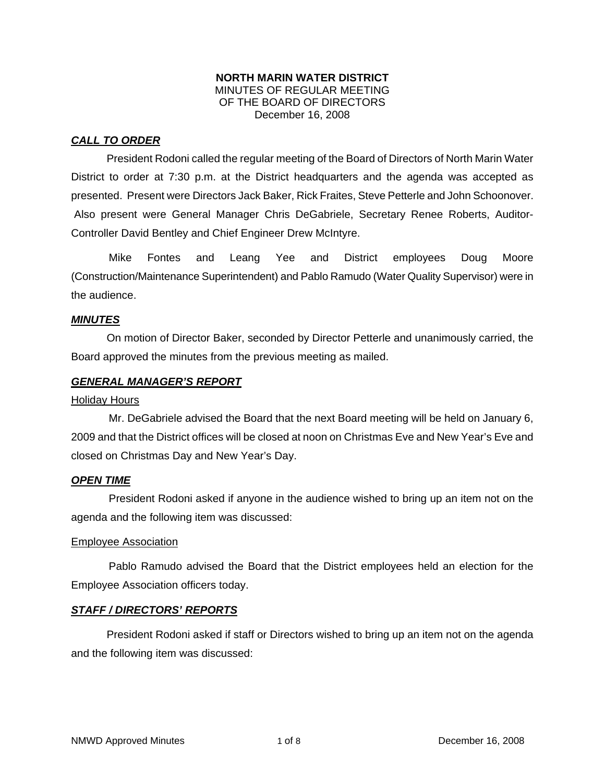#### **NORTH MARIN WATER DISTRICT**  MINUTES OF REGULAR MEETING OF THE BOARD OF DIRECTORS December 16, 2008

### *CALL TO ORDER*

President Rodoni called the regular meeting of the Board of Directors of North Marin Water District to order at 7:30 p.m. at the District headquarters and the agenda was accepted as presented. Present were Directors Jack Baker, Rick Fraites, Steve Petterle and John Schoonover. Also present were General Manager Chris DeGabriele, Secretary Renee Roberts, Auditor-Controller David Bentley and Chief Engineer Drew McIntyre.

Mike Fontes and Leang Yee and District employees Doug Moore (Construction/Maintenance Superintendent) and Pablo Ramudo (Water Quality Supervisor) were in the audience.

### *MINUTES*

 On motion of Director Baker, seconded by Director Petterle and unanimously carried, the Board approved the minutes from the previous meeting as mailed.

#### *GENERAL MANAGER'S REPORT*

#### **Holiday Hours**

Mr. DeGabriele advised the Board that the next Board meeting will be held on January 6, 2009 and that the District offices will be closed at noon on Christmas Eve and New Year's Eve and closed on Christmas Day and New Year's Day.

### *OPEN TIME*

President Rodoni asked if anyone in the audience wished to bring up an item not on the agenda and the following item was discussed:

#### Employee Association

Pablo Ramudo advised the Board that the District employees held an election for the Employee Association officers today.

### *STAFF / DIRECTORS' REPORTS*

 President Rodoni asked if staff or Directors wished to bring up an item not on the agenda and the following item was discussed: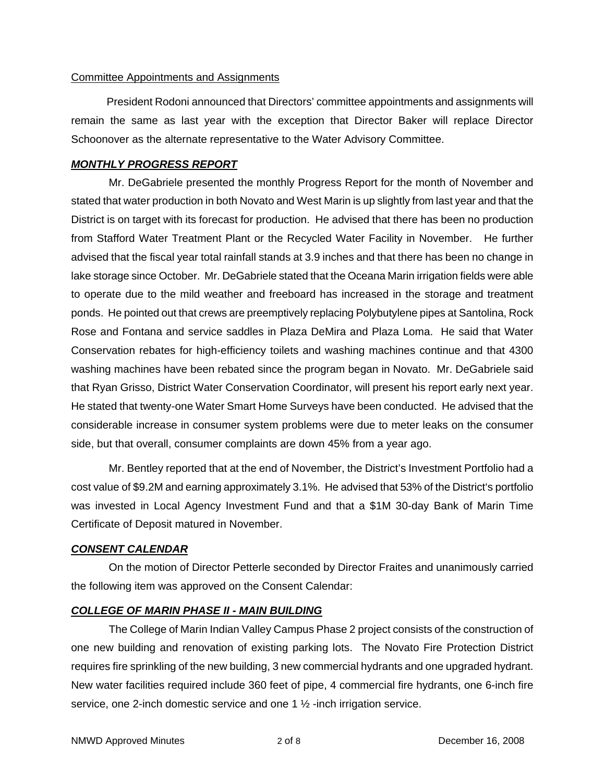### Committee Appointments and Assignments

 President Rodoni announced that Directors' committee appointments and assignments will remain the same as last year with the exception that Director Baker will replace Director Schoonover as the alternate representative to the Water Advisory Committee.

### *MONTHLY PROGRESS REPORT*

Mr. DeGabriele presented the monthly Progress Report for the month of November and stated that water production in both Novato and West Marin is up slightly from last year and that the District is on target with its forecast for production. He advised that there has been no production from Stafford Water Treatment Plant or the Recycled Water Facility in November. He further advised that the fiscal year total rainfall stands at 3.9 inches and that there has been no change in lake storage since October. Mr. DeGabriele stated that the Oceana Marin irrigation fields were able to operate due to the mild weather and freeboard has increased in the storage and treatment ponds. He pointed out that crews are preemptively replacing Polybutylene pipes at Santolina, Rock Rose and Fontana and service saddles in Plaza DeMira and Plaza Loma. He said that Water Conservation rebates for high-efficiency toilets and washing machines continue and that 4300 washing machines have been rebated since the program began in Novato. Mr. DeGabriele said that Ryan Grisso, District Water Conservation Coordinator, will present his report early next year. He stated that twenty-one Water Smart Home Surveys have been conducted. He advised that the considerable increase in consumer system problems were due to meter leaks on the consumer side, but that overall, consumer complaints are down 45% from a year ago.

Mr. Bentley reported that at the end of November, the District's Investment Portfolio had a cost value of \$9.2M and earning approximately 3.1%. He advised that 53% of the District's portfolio was invested in Local Agency Investment Fund and that a \$1M 30-day Bank of Marin Time Certificate of Deposit matured in November.

### *CONSENT CALENDAR*

On the motion of Director Petterle seconded by Director Fraites and unanimously carried the following item was approved on the Consent Calendar:

### *COLLEGE OF MARIN PHASE II - MAIN BUILDING*

The College of Marin Indian Valley Campus Phase 2 project consists of the construction of one new building and renovation of existing parking lots. The Novato Fire Protection District requires fire sprinkling of the new building, 3 new commercial hydrants and one upgraded hydrant. New water facilities required include 360 feet of pipe, 4 commercial fire hydrants, one 6-inch fire service, one 2-inch domestic service and one 1  $\frac{1}{2}$ -inch irrigation service.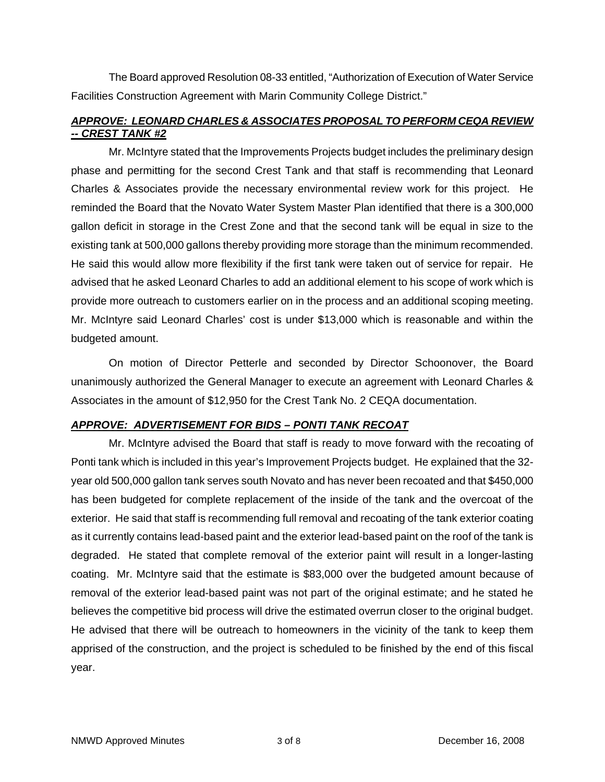The Board approved Resolution 08-33 entitled, "Authorization of Execution of Water Service Facilities Construction Agreement with Marin Community College District."

# *APPROVE: LEONARD CHARLES & ASSOCIATES PROPOSAL TO PERFORM CEQA REVIEW -- CREST TANK #2*

Mr. McIntyre stated that the Improvements Projects budget includes the preliminary design phase and permitting for the second Crest Tank and that staff is recommending that Leonard Charles & Associates provide the necessary environmental review work for this project. He reminded the Board that the Novato Water System Master Plan identified that there is a 300,000 gallon deficit in storage in the Crest Zone and that the second tank will be equal in size to the existing tank at 500,000 gallons thereby providing more storage than the minimum recommended. He said this would allow more flexibility if the first tank were taken out of service for repair. He advised that he asked Leonard Charles to add an additional element to his scope of work which is provide more outreach to customers earlier on in the process and an additional scoping meeting. Mr. McIntyre said Leonard Charles' cost is under \$13,000 which is reasonable and within the budgeted amount.

On motion of Director Petterle and seconded by Director Schoonover, the Board unanimously authorized the General Manager to execute an agreement with Leonard Charles & Associates in the amount of \$12,950 for the Crest Tank No. 2 CEQA documentation.

### *APPROVE: ADVERTISEMENT FOR BIDS – PONTI TANK RECOAT*

Mr. McIntyre advised the Board that staff is ready to move forward with the recoating of Ponti tank which is included in this year's Improvement Projects budget. He explained that the 32 year old 500,000 gallon tank serves south Novato and has never been recoated and that \$450,000 has been budgeted for complete replacement of the inside of the tank and the overcoat of the exterior. He said that staff is recommending full removal and recoating of the tank exterior coating as it currently contains lead-based paint and the exterior lead-based paint on the roof of the tank is degraded. He stated that complete removal of the exterior paint will result in a longer-lasting coating. Mr. McIntyre said that the estimate is \$83,000 over the budgeted amount because of removal of the exterior lead-based paint was not part of the original estimate; and he stated he believes the competitive bid process will drive the estimated overrun closer to the original budget. He advised that there will be outreach to homeowners in the vicinity of the tank to keep them apprised of the construction, and the project is scheduled to be finished by the end of this fiscal year.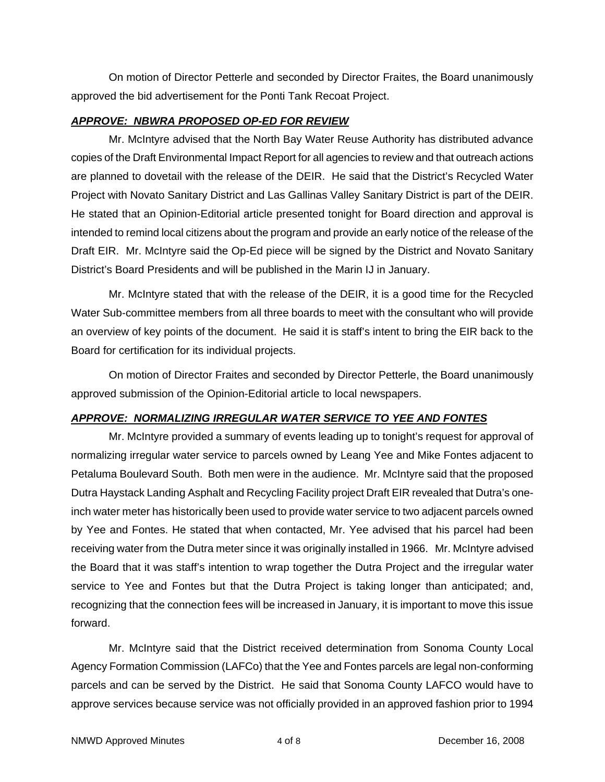On motion of Director Petterle and seconded by Director Fraites, the Board unanimously approved the bid advertisement for the Ponti Tank Recoat Project.

### *APPROVE: NBWRA PROPOSED OP-ED FOR REVIEW*

Mr. McIntyre advised that the North Bay Water Reuse Authority has distributed advance copies of the Draft Environmental Impact Report for all agencies to review and that outreach actions are planned to dovetail with the release of the DEIR. He said that the District's Recycled Water Project with Novato Sanitary District and Las Gallinas Valley Sanitary District is part of the DEIR. He stated that an Opinion-Editorial article presented tonight for Board direction and approval is intended to remind local citizens about the program and provide an early notice of the release of the Draft EIR. Mr. McIntyre said the Op-Ed piece will be signed by the District and Novato Sanitary District's Board Presidents and will be published in the Marin IJ in January.

Mr. McIntyre stated that with the release of the DEIR, it is a good time for the Recycled Water Sub-committee members from all three boards to meet with the consultant who will provide an overview of key points of the document. He said it is staff's intent to bring the EIR back to the Board for certification for its individual projects.

On motion of Director Fraites and seconded by Director Petterle, the Board unanimously approved submission of the Opinion-Editorial article to local newspapers.

# *APPROVE: NORMALIZING IRREGULAR WATER SERVICE TO YEE AND FONTES*

Mr. McIntyre provided a summary of events leading up to tonight's request for approval of normalizing irregular water service to parcels owned by Leang Yee and Mike Fontes adjacent to Petaluma Boulevard South. Both men were in the audience. Mr. McIntyre said that the proposed Dutra Haystack Landing Asphalt and Recycling Facility project Draft EIR revealed that Dutra's oneinch water meter has historically been used to provide water service to two adjacent parcels owned by Yee and Fontes. He stated that when contacted, Mr. Yee advised that his parcel had been receiving water from the Dutra meter since it was originally installed in 1966. Mr. McIntyre advised the Board that it was staff's intention to wrap together the Dutra Project and the irregular water service to Yee and Fontes but that the Dutra Project is taking longer than anticipated; and, recognizing that the connection fees will be increased in January, it is important to move this issue forward.

Mr. McIntyre said that the District received determination from Sonoma County Local Agency Formation Commission (LAFCo) that the Yee and Fontes parcels are legal non-conforming parcels and can be served by the District. He said that Sonoma County LAFCO would have to approve services because service was not officially provided in an approved fashion prior to 1994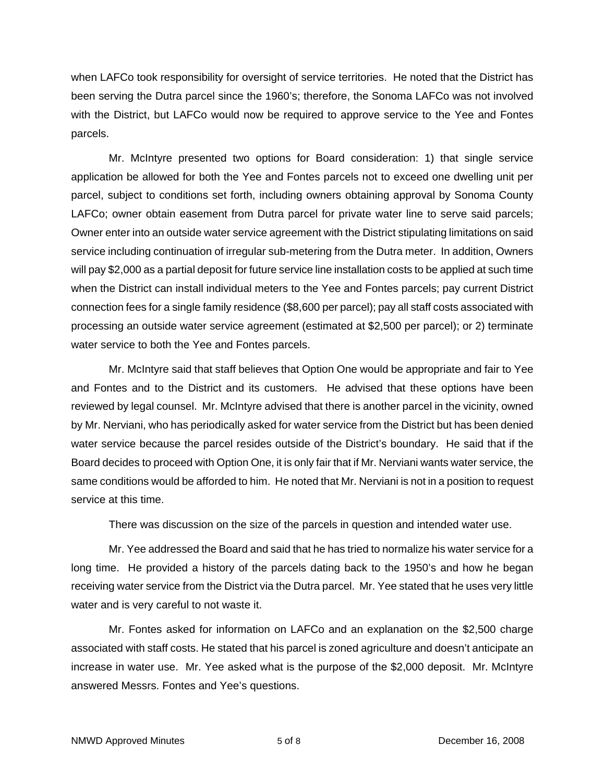when LAFCo took responsibility for oversight of service territories. He noted that the District has been serving the Dutra parcel since the 1960's; therefore, the Sonoma LAFCo was not involved with the District, but LAFCo would now be required to approve service to the Yee and Fontes parcels.

Mr. McIntyre presented two options for Board consideration: 1) that single service application be allowed for both the Yee and Fontes parcels not to exceed one dwelling unit per parcel, subject to conditions set forth, including owners obtaining approval by Sonoma County LAFCo; owner obtain easement from Dutra parcel for private water line to serve said parcels; Owner enter into an outside water service agreement with the District stipulating limitations on said service including continuation of irregular sub-metering from the Dutra meter. In addition, Owners will pay \$2,000 as a partial deposit for future service line installation costs to be applied at such time when the District can install individual meters to the Yee and Fontes parcels; pay current District connection fees for a single family residence (\$8,600 per parcel); pay all staff costs associated with processing an outside water service agreement (estimated at \$2,500 per parcel); or 2) terminate water service to both the Yee and Fontes parcels.

Mr. McIntyre said that staff believes that Option One would be appropriate and fair to Yee and Fontes and to the District and its customers. He advised that these options have been reviewed by legal counsel. Mr. McIntyre advised that there is another parcel in the vicinity, owned by Mr. Nerviani, who has periodically asked for water service from the District but has been denied water service because the parcel resides outside of the District's boundary. He said that if the Board decides to proceed with Option One, it is only fair that if Mr. Nerviani wants water service, the same conditions would be afforded to him. He noted that Mr. Nerviani is not in a position to request service at this time.

There was discussion on the size of the parcels in question and intended water use.

Mr. Yee addressed the Board and said that he has tried to normalize his water service for a long time. He provided a history of the parcels dating back to the 1950's and how he began receiving water service from the District via the Dutra parcel. Mr. Yee stated that he uses very little water and is very careful to not waste it.

Mr. Fontes asked for information on LAFCo and an explanation on the \$2,500 charge associated with staff costs. He stated that his parcel is zoned agriculture and doesn't anticipate an increase in water use. Mr. Yee asked what is the purpose of the \$2,000 deposit. Mr. McIntyre answered Messrs. Fontes and Yee's questions.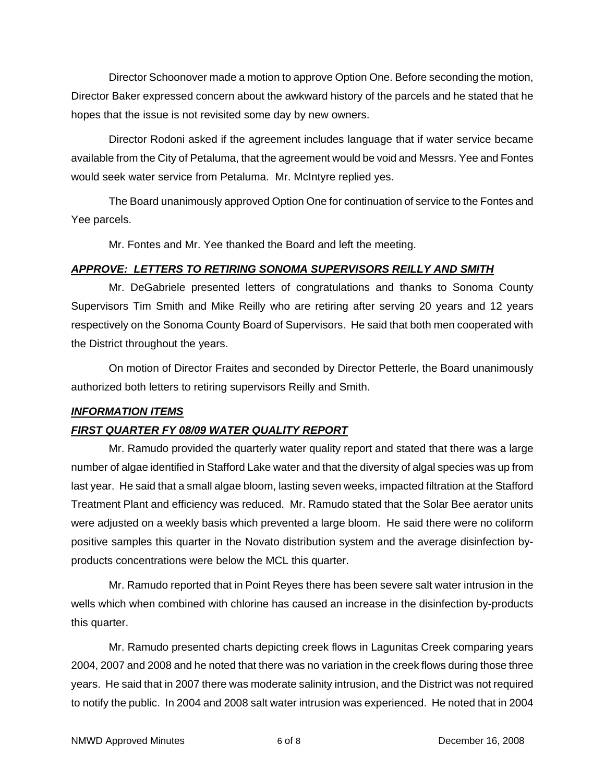Director Schoonover made a motion to approve Option One. Before seconding the motion, Director Baker expressed concern about the awkward history of the parcels and he stated that he hopes that the issue is not revisited some day by new owners.

Director Rodoni asked if the agreement includes language that if water service became available from the City of Petaluma, that the agreement would be void and Messrs. Yee and Fontes would seek water service from Petaluma. Mr. McIntyre replied yes.

The Board unanimously approved Option One for continuation of service to the Fontes and Yee parcels.

Mr. Fontes and Mr. Yee thanked the Board and left the meeting.

### *APPROVE: LETTERS TO RETIRING SONOMA SUPERVISORS REILLY AND SMITH*

Mr. DeGabriele presented letters of congratulations and thanks to Sonoma County Supervisors Tim Smith and Mike Reilly who are retiring after serving 20 years and 12 years respectively on the Sonoma County Board of Supervisors. He said that both men cooperated with the District throughout the years.

On motion of Director Fraites and seconded by Director Petterle, the Board unanimously authorized both letters to retiring supervisors Reilly and Smith.

# *INFORMATION ITEMS*

# *FIRST QUARTER FY 08/09 WATER QUALITY REPORT*

Mr. Ramudo provided the quarterly water quality report and stated that there was a large number of algae identified in Stafford Lake water and that the diversity of algal species was up from last year. He said that a small algae bloom, lasting seven weeks, impacted filtration at the Stafford Treatment Plant and efficiency was reduced. Mr. Ramudo stated that the Solar Bee aerator units were adjusted on a weekly basis which prevented a large bloom. He said there were no coliform positive samples this quarter in the Novato distribution system and the average disinfection byproducts concentrations were below the MCL this quarter.

Mr. Ramudo reported that in Point Reyes there has been severe salt water intrusion in the wells which when combined with chlorine has caused an increase in the disinfection by-products this quarter.

Mr. Ramudo presented charts depicting creek flows in Lagunitas Creek comparing years 2004, 2007 and 2008 and he noted that there was no variation in the creek flows during those three years. He said that in 2007 there was moderate salinity intrusion, and the District was not required to notify the public. In 2004 and 2008 salt water intrusion was experienced. He noted that in 2004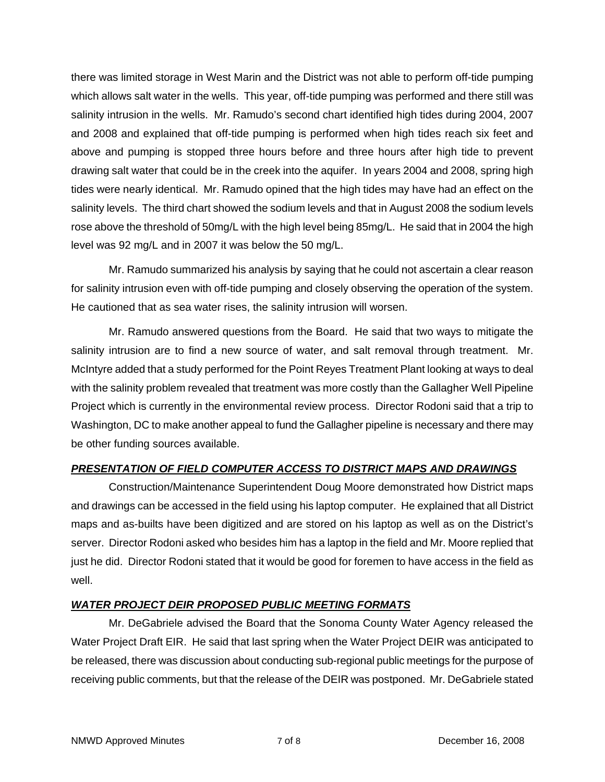there was limited storage in West Marin and the District was not able to perform off-tide pumping which allows salt water in the wells. This year, off-tide pumping was performed and there still was salinity intrusion in the wells. Mr. Ramudo's second chart identified high tides during 2004, 2007 and 2008 and explained that off-tide pumping is performed when high tides reach six feet and above and pumping is stopped three hours before and three hours after high tide to prevent drawing salt water that could be in the creek into the aquifer. In years 2004 and 2008, spring high tides were nearly identical. Mr. Ramudo opined that the high tides may have had an effect on the salinity levels. The third chart showed the sodium levels and that in August 2008 the sodium levels rose above the threshold of 50mg/L with the high level being 85mg/L. He said that in 2004 the high level was 92 mg/L and in 2007 it was below the 50 mg/L.

Mr. Ramudo summarized his analysis by saying that he could not ascertain a clear reason for salinity intrusion even with off-tide pumping and closely observing the operation of the system. He cautioned that as sea water rises, the salinity intrusion will worsen.

Mr. Ramudo answered questions from the Board. He said that two ways to mitigate the salinity intrusion are to find a new source of water, and salt removal through treatment. Mr. McIntyre added that a study performed for the Point Reyes Treatment Plant looking at ways to deal with the salinity problem revealed that treatment was more costly than the Gallagher Well Pipeline Project which is currently in the environmental review process. Director Rodoni said that a trip to Washington, DC to make another appeal to fund the Gallagher pipeline is necessary and there may be other funding sources available.

# *PRESENTATION OF FIELD COMPUTER ACCESS TO DISTRICT MAPS AND DRAWINGS*

Construction/Maintenance Superintendent Doug Moore demonstrated how District maps and drawings can be accessed in the field using his laptop computer. He explained that all District maps and as-builts have been digitized and are stored on his laptop as well as on the District's server. Director Rodoni asked who besides him has a laptop in the field and Mr. Moore replied that just he did. Director Rodoni stated that it would be good for foremen to have access in the field as well.

# *WATER PROJECT DEIR PROPOSED PUBLIC MEETING FORMATS*

Mr. DeGabriele advised the Board that the Sonoma County Water Agency released the Water Project Draft EIR. He said that last spring when the Water Project DEIR was anticipated to be released, there was discussion about conducting sub-regional public meetings for the purpose of receiving public comments, but that the release of the DEIR was postponed. Mr. DeGabriele stated